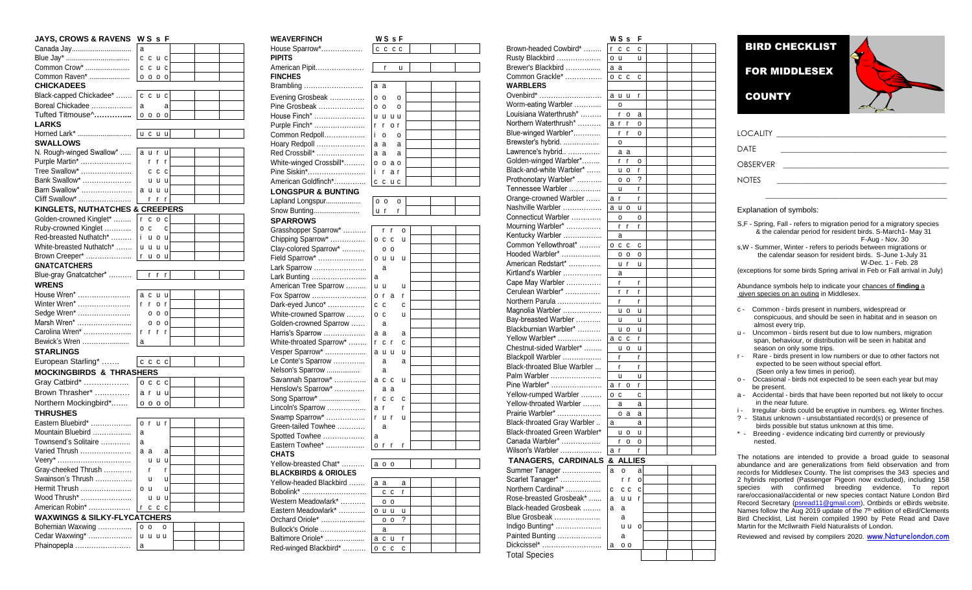| <b>JAYS, CROWS &amp; RAVENS</b>         | WSsF   |             |                |              |  |  |
|-----------------------------------------|--------|-------------|----------------|--------------|--|--|
| Canada Jay                              | a      |             |                |              |  |  |
| Blue Jay*                               |        | ccuc        |                |              |  |  |
| Common Crow*                            | С      | C           | u c            |              |  |  |
| Common Raven*                           | 0      | $\circ$     | 0 <sub>0</sub> |              |  |  |
| <b>CHICKADEES</b>                       |        |             |                |              |  |  |
| Black-capped Chickadee*                 | C      | C           | u              | C            |  |  |
| Boreal Chickadee                        | a      |             |                | a            |  |  |
| Tufted Titmouse^                        | O      | 0           | $\circ$        | $\circ$      |  |  |
| <b>LARKS</b>                            |        |             |                |              |  |  |
| Horned Lark*                            | l u    | C           | u              | u            |  |  |
| <b>SWALLOWS</b>                         |        |             |                |              |  |  |
| N. Rough-winged Swallow*                |        | a u r       |                | u            |  |  |
| Purple Martin*                          |        | r.          | r              | r            |  |  |
| Tree Swallow*                           |        | c           | C              | C            |  |  |
| Bank Swallow*                           |        | u           | u              | <b>u</b>     |  |  |
| Barn Swallow*                           |        | a u         | U              | u            |  |  |
| Cliff Swallow*                          |        | r           | r              | r            |  |  |
| KINGLETS, NUTHATCHES & CREEPERS         |        |             |                |              |  |  |
| Golden-crowned Kinglet*                 | r      |             | c o            | C            |  |  |
| Ruby-crowned Kinglet                    | O      | $\mathbf c$ |                | C            |  |  |
| Red-breasted Nuthatch*                  | i      |             | u o            | U            |  |  |
| White-breasted Nuthatch*                | u      | <b>u</b>    | u              | <b>u</b>     |  |  |
| Brown Creeper*                          | r      |             | u o            | <b>u</b>     |  |  |
| <b>GNATCATCHERS</b>                     |        |             |                |              |  |  |
| Blue-gray Gnatcatcher*                  |        | r           | r              | r            |  |  |
| <b>WRENS</b>                            |        |             |                |              |  |  |
| House Wren*                             | а      | с           | u              | u            |  |  |
| Winter Wren*                            | r      | r.          | 0              | $\mathsf{r}$ |  |  |
| Sedge Wren*                             |        |             | 000            |              |  |  |
| Marsh Wren*                             |        | о           | $\circ$        | $\circ$      |  |  |
| Carolina Wren*                          | r      | r           | r              | r            |  |  |
| Bewick's Wren                           | a      |             |                |              |  |  |
| <b>STARLINGS</b>                        |        |             |                |              |  |  |
| European Starling*                      | cccc   |             |                |              |  |  |
| <b>MOCKINGBIRDS &amp; THRASHERS</b>     |        |             |                |              |  |  |
| Gray Catbird*                           |        | $0c$ $cc$   |                |              |  |  |
| Brown Thrasher*                         |        | a r         | u u            |              |  |  |
| Northern Mockingbird*                   |        | 0000        |                |              |  |  |
| <b>THRUSHES</b>                         |        |             |                |              |  |  |
| Eastern Bluebird*                       |        | o r         | u r            |              |  |  |
| Mountain Bluebird                       | a      |             |                |              |  |  |
| Townsend's Solitaire                    | a      |             |                |              |  |  |
| Varied Thrush                           | a      | а           |                | а            |  |  |
| Veery*                                  |        | u           | <b>u</b>       | <b>u</b>     |  |  |
| Gray-cheeked Thrush                     |        | r           |                | r            |  |  |
| Swainson's Thrush                       |        | u           |                | u            |  |  |
| Hermit Thrush                           | o      | u           |                | u            |  |  |
| Wood Thrush*                            |        | u           | U              | u            |  |  |
| American Robin*                         | r      | С           | С              | C            |  |  |
| <b>WAXWINGS &amp; SILKY-FLYCATCHERS</b> |        |             |                |              |  |  |
| Bohemian Waxwing<br>Cedar Waxwing*      | 0<br>u | 0<br>u      | u u            | 0            |  |  |
| Phainopepla                             | а      |             |                |              |  |  |
|                                         |        |             |                |              |  |  |

| <b>WEAVERFINCH</b>               | WSsF                |
|----------------------------------|---------------------|
| House Sparrow*                   | C<br>C<br>c c       |
| <b>PIPITS</b>                    |                     |
| American Pipit                   | r<br>u              |
| <b>FINCHES</b>                   |                     |
| Brambling                        | а<br>a              |
| Evening Grosbeak                 | 0<br>o<br>0         |
| Pine Grosbeak                    | 0<br>о<br>0         |
| House Finch*                     | u<br>u u<br>u       |
| Purple Finch*                    | o r<br>r<br>r       |
| Common Redpoll                   | i<br>о<br>0         |
| Hoary Redpoll                    | а<br>а<br>а         |
| Red Crossbill*                   | a<br>a<br>a         |
| White-winged Crossbill*          | 0<br>o<br>aо        |
| Pine Siskin*                     | i<br>r<br>a r       |
| American Goldfinch*              | C<br>C              |
| <b>LONGSPUR &amp; BUNTING</b>    | u c                 |
|                                  |                     |
| Lapland Longspur                 | 0 <sub>0</sub><br>0 |
| Snow Bunting                     | U<br>r<br>r         |
| <b>SPARROWS</b>                  |                     |
| Grasshopper Sparrow*             | r<br>r<br>0         |
| Chipping Sparrow*                | С<br>u<br>о<br>с    |
| Clay-colored Sparrow*            | о<br>0              |
| Field Sparrow*                   | u<br>u<br>u<br>о    |
| Lark Sparrow                     | a                   |
| Lark Bunting                     | а                   |
| American Tree Sparrow            | u<br>u<br>u         |
| Fox Sparrow                      | r<br>a<br>о<br>r    |
| Dark-eyed Junco*                 | C<br>C<br>C         |
| White-crowned Sparrow            | u<br>0<br>с         |
| Golden-crowned Sparrow           | а                   |
| Harris's Sparrow                 | a<br>а<br>а         |
| White-throated Sparrow*          | r<br>С<br>r<br>с    |
| Vesper Sparrow*                  | a u<br>u<br>u       |
| Le Conte's Sparrow               | а<br>а              |
| Nelson's Sparrow                 | а                   |
| Savannah Sparrow*                | a c<br>u<br>с       |
| Henslow's Sparrow*               | а<br>а              |
| Song Sparrow*                    | С<br>С<br>r<br>с    |
| Lincoln's Sparrow                | a<br>r<br>r         |
| Swamp Sparrow*                   | r<br>r<br>u<br>u    |
| Green-tailed Towhee              | a                   |
| Spotted Towhee                   | а                   |
| Eastern Towhee*                  | о<br>r<br>r<br>r    |
| <b>CHATS</b>                     |                     |
| Yellow-breasted Chat*            | a                   |
| <b>BLACKBIRDS &amp; ORIOLES</b>  | 0 <sub>0</sub>      |
| Yellow-headed Blackbird          |                     |
|                                  | a<br>а<br>а         |
| Bobolink*<br>Western Meadowlark* | c c<br>r            |
| Eastern Meadowlark*              | o o                 |
|                                  | o u<br>u<br>u<br>?  |
| Orchard Oriole*                  | о<br>0              |
| Bullock's Oriole                 | a                   |
| Baltimore Oriole*                | C<br>a<br>u<br>r    |
| Red-winged Blackbird*            | O C C<br>C          |

|                               | w s<br>s           | F |
|-------------------------------|--------------------|---|
| Brown-headed Cowbird*         | r<br>C<br>C        | C |
| Rusty Blackbird               | u<br>0             | u |
| Brewer's Blackbird            | а<br>а             |   |
| Common Grackle*               | 0<br>C<br>C        | C |
| <b>WARBLERS</b>               |                    |   |
| Ovenbird*                     | u<br>а<br>u        | r |
| Worm-eating Warbler           | 0                  |   |
| Louisiana Waterthrush*        | r<br>0             | а |
| Northern Waterthrush*         | а<br>r<br>r        | 0 |
| Blue-winged Warbler*          | r<br>r             | 0 |
| Brewster's hybrid.            | o                  |   |
| Lawrence's hybrid             | аa                 |   |
| Golden-winged Warbler*        | r<br>r             | 0 |
| Black-and-white Warbler*      | u<br>o             | r |
| Prothonotary Warbler*         | O<br>0             | ? |
| Tennessee Warbler             | u                  | r |
| Orange-crowned Warbler        | a<br>r             | r |
| Nashville Warbler             | a<br>u<br>о        | u |
| Connecticut Warbler           | O                  | O |
| Mourning Warbler*             | r<br>r             | r |
| Kentucky Warbler              | a                  |   |
| Common Yellowthroat*          | 0<br>c c           | с |
| Hooded Warbler*               | 0<br>o             | 0 |
| American Redstart*            | r<br>u             | u |
| Kirtland's Warbler            | а                  |   |
| Cape May Warbler              | r                  | r |
| Cerulean Warbler*             | r<br>r             | r |
| Northern Parula               | r                  | r |
| Magnolia Warbler              | U<br>0             | u |
| Bay-breasted Warbler          | u                  | u |
| Blackburnian Warbler*         | u<br>о             | u |
| Yellow Warbler*               | C<br>C<br>a        | r |
| Chestnut-sided Warbler*       | u<br>0             | u |
| Blackpoll Warbler             | r                  | r |
| Black-throated Blue Warbler   | r                  | r |
| Palm Warbler                  | u                  | u |
| Pine Warbler*                 | r<br>о<br>а        | r |
| Yellow-rumped Warbler         | 0<br>с             | С |
| Yellow-throated Warbler       | а                  | а |
| Prairie Warbler*              | O<br>a             | a |
| Black-throated Gray Warbler   | a                  | а |
| Black-throated Green Warbler* | u o                | u |
| Canada Warbler*               | r<br>0             | 0 |
| Wilson's Warbler              | r<br>а             | r |
| <b>TANAGERS, CARDINALS</b>    | 8<br><b>ALLIES</b> |   |
| Summer Tanager                | а<br>о             | а |
| Scarlet Tanager*              | r<br>r             | о |
| Northern Cardinal*            | С<br>сc            | C |
| Rose-breasted Grosbeak*       | а<br>u u           | r |
| Black-headed Grosbeak         | a<br>a             |   |
| Blue Grosbeak                 | а                  |   |
| Indigo Bunting*               | u u                | 0 |
| Painted Bunting               | а                  |   |
| Dickcissel*                   | а<br>0 O           |   |
| <b>Total Species</b>          |                    |   |
|                               |                    |   |

| <b>BIRD CHECKLIST</b> |  |
|-----------------------|--|
| <b>FOR MIDDLESEX</b>  |  |
| <b>COUNTY</b>         |  |
|                       |  |
| <b>LOCALITY</b>       |  |
| DATE                  |  |
| <b>OBSERVER</b>       |  |
| <b>NOTES</b>          |  |
|                       |  |

## Explanation of symbols:

S,F - Spring, Fall - refers to migration period for a migratory species & the calendar period for resident birds. S-March1- May 31 F -Aug - Nov. 30 s, W - Summer, Winter - refers to periods between migrations or the calendar season for resident birds. S -June 1 -July 31

W-Dec. 1 - Feb. 28 (exceptions for some birds Spring arrival in Feb or Fall arrival in July)

Abu ndance symbols help to indicate your chances of **finding** a given species on an outing in Middlesex .

- c Common birds present in numbers, widespread or conspicuous, and should be seen in habitat and in season on almost every trip.
- u Uncommon birds resent but due to low numbers, migration span, behaviour, or distribution will be seen in habitat and season on only some trips.
- r Rare birds present in low numbers or due to other factors not expe cted to be seen without special effort. (Seen only a few times in period).
- o Occasional birds not expected to be seen each year but may be present.
- a Accidental birds that have been reported but not likely to occur in the near future.
- i Irregular -birds could be eruptive in numbers. eg. Winter finches.
- ? Status unknown unsubstantiated record(s) or presence of birds possible but status unknown at this time.
- \* Breeding evidence indicating bird currently or previously nested.

The notations are intended to provide a broad guide to seasonal abundance and are generalizations from field observation and from 2 hybrids reported (Passenger Pigeon now excluded), including 158 species with confirmed breeding evidenc e. To report rare/occasional/accidental or new species contact Nature London Bird Record Secretary [\(psread11@gm](mailto:psread11@gmail.com)ail.com), Ontbirds or eBirds website. Names follow the Aug 2019 update of the  $7<sup>th</sup>$  edition of eBird/Clements Bird Checklist, List herein compiled 1990 by Pete Read and Dav e Martin for the McIlwraith Field Naturalists of London.

Reviewed and revised by compilers 2020. [www.Naturelondon.com](http://www.naturelondon.com/)